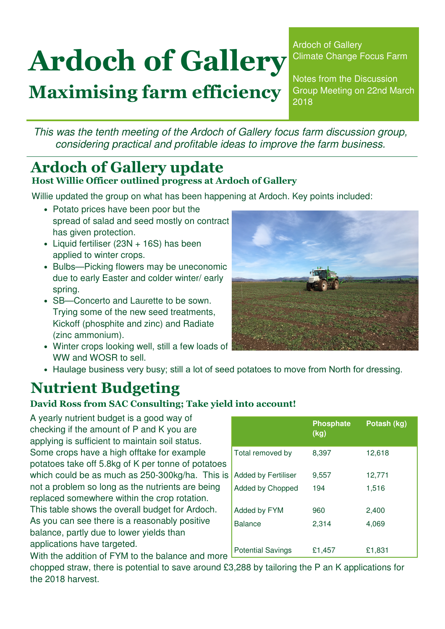# Ardoch of Gallery

# Maximising farm efficiency

Ardoch of Gallery Climate Change Focus Farm

Notes from the Discussion Group Meeting on 22nd March 2018

This was the tenth meeting of the Ardoch of Gallery focus farm discussion group, considering practical and profitable ideas to improve the farm business.

### Ardoch of Gallery update Host Willie Officer outlined progress at Ardoch of Gallery

Willie updated the group on what has been happening at Ardoch. Key points included:

- Potato prices have been poor but the spread of salad and seed mostly on contract has given protection.
- Liquid fertiliser (23N + 16S) has been applied to winter crops.
- Bulbs—Picking flowers may be uneconomic due to early Easter and colder winter/ early spring.
- SB—Concerto and Laurette to be sown. Trying some of the new seed treatments, Kickoff (phosphite and zinc) and Radiate (zinc ammonium).
- Winter crops looking well, still a few loads of WW and WOSR to sell.



• Haulage business very busy; still a lot of seed potatoes to move from North for dressing.

# Nutrient Budgeting

#### David Ross from SAC Consulting; Take yield into account!

A yearly nutrient budget is a good way of checking if the amount of P and K you are applying is sufficient to maintain soil status. Some crops have a high offtake for example potatoes take off 5.8kg of K per tonne of potatoes which could be as much as 250-300kg/ha. This is not a problem so long as the nutrients are being replaced somewhere within the crop rotation. This table shows the overall budget for Ardoch. As you can see there is a reasonably positive balance, partly due to lower yields than applications have targeted.

|                            | <b>Phosphate</b><br>(kg) | Potash (kg) |
|----------------------------|--------------------------|-------------|
| Total removed by           | 8,397                    | 12,618      |
| <b>Added by Fertiliser</b> | 9,557                    | 12,771      |
| Added by Chopped           | 194                      | 1,516       |
| Added by FYM               | 960                      | 2,400       |
| <b>Balance</b>             | 2,314                    | 4,069       |
| <b>Potential Savings</b>   | £1,457                   | £1,831      |

With the addition of FYM to the balance and more chopped straw, there is potential to save around £3,288 by tailoring the P an K applications for the 2018 harvest.